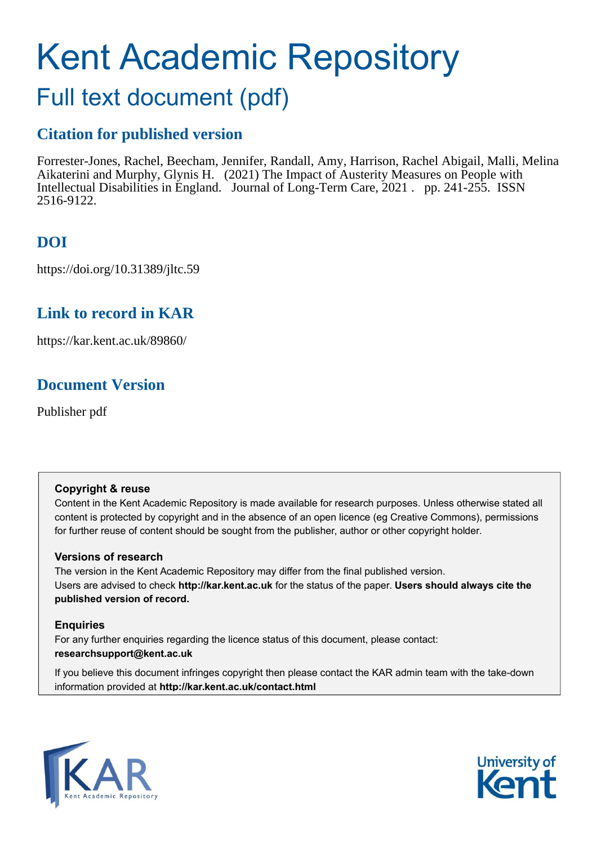# Kent Academic Repository

# Full text document (pdf)

# **Citation for published version**

Forrester-Jones, Rachel, Beecham, Jennifer, Randall, Amy, Harrison, Rachel Abigail, Malli, Melina Aikaterini and Murphy, Glynis H. (2021) The Impact of Austerity Measures on People with Intellectual Disabilities in England. Journal of Long-Term Care, 2021 . pp. 241-255. ISSN 2516-9122.

# **DOI**

https://doi.org/10.31389/jltc.59

# **Link to record in KAR**

https://kar.kent.ac.uk/89860/

# **Document Version**

Publisher pdf

#### **Copyright & reuse**

Content in the Kent Academic Repository is made available for research purposes. Unless otherwise stated all content is protected by copyright and in the absence of an open licence (eg Creative Commons), permissions for further reuse of content should be sought from the publisher, author or other copyright holder.

#### **Versions of research**

The version in the Kent Academic Repository may differ from the final published version. Users are advised to check **http://kar.kent.ac.uk** for the status of the paper. **Users should always cite the published version of record.**

#### **Enquiries**

For any further enquiries regarding the licence status of this document, please contact: **researchsupport@kent.ac.uk**

If you believe this document infringes copyright then please contact the KAR admin team with the take-down information provided at **http://kar.kent.ac.uk/contact.html**



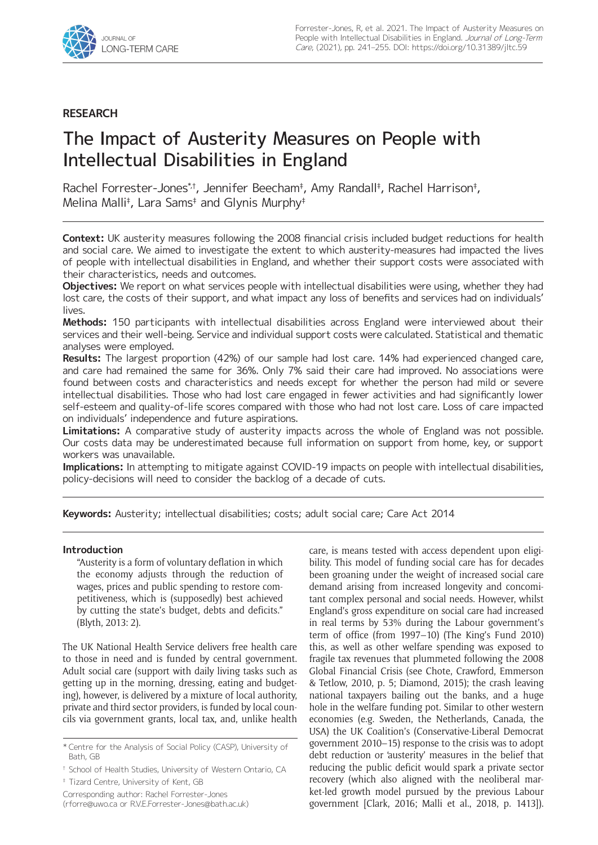

#### **RESEARCH**

# The Impact of Austerity Measures on People with Intellectual Disabilities in England

Rachel Forrester-Jones\*t, Jennifer Beecham<sup>‡</sup>, Amy Randall‡, Rachel Harrison‡, Melina Malli‡ , Lara Sams‡ and Glynis Murphy‡

**Context:** UK austerity measures following the 2008 financial crisis included budget reductions for health and social care. We aimed to investigate the extent to which austerity-measures had impacted the lives of people with intellectual disabilities in England, and whether their support costs were associated with their characteristics, needs and outcomes.

**Objectives:** We report on what services people with intellectual disabilities were using, whether they had lost care, the costs of their support, and what impact any loss of benefits and services had on individuals' lives.

**Methods:** 150 participants with intellectual disabilities across England were interviewed about their services and their well-being. Service and individual support costs were calculated. Statistical and thematic analyses were employed.

**Results:** The largest proportion (42%) of our sample had lost care. 14% had experienced changed care, and care had remained the same for 36%. Only 7% said their care had improved. No associations were found between costs and characteristics and needs except for whether the person had mild or severe intellectual disabilities. Those who had lost care engaged in fewer activities and had significantly lower self-esteem and quality-of-life scores compared with those who had not lost care. Loss of care impacted on individuals' independence and future aspirations.

**Limitations:** A comparative study of austerity impacts across the whole of England was not possible. Our costs data may be underestimated because full information on support from home, key, or support workers was unavailable.

**Implications:** In attempting to mitigate against COVID-19 impacts on people with intellectual disabilities, policy-decisions will need to consider the backlog of a decade of cuts.

**Keywords:** Austerity; intellectual disabilities; costs; adult social care; Care Act 2014

#### **Introduction**

"Austerity is a form of voluntary deflation in which the economy adjusts through the reduction of wages, prices and public spending to restore competitiveness, which is (supposedly) best achieved by cutting the state's budget, debts and deficits." (Blyth, 2013: 2).

The UK National Health Service delivers free health care to those in need and is funded by central government. Adult social care (support with daily living tasks such as getting up in the morning, dressing, eating and budgeting), however, is delivered by a mixture of local authority, private and third sector providers, is funded by local councils via government grants, local tax, and, unlike health

‡ Tizard Centre, University of Kent, GB

Corresponding author: Rachel Forrester-Jones [\(rforre@uwo.ca](mailto:rforre@uwo.ca) or [R.V.E.Forrester-Jones@bath.ac.uk\)](mailto:R.V.E.Forrester-Jones@bath.ac.uk) care, is means tested with access dependent upon eligibility. This model of funding social care has for decades been groaning under the weight of increased social care demand arising from increased longevity and concomitant complex personal and social needs. However, whilst England's gross expenditure on social care had increased in real terms by 53% during the Labour government's term of office (from 1997–10) (The King's Fund 2010) this, as well as other welfare spending was exposed to fragile tax revenues that plummeted following the 2008 Global Financial Crisis (see Chote, Crawford, Emmerson & Tetlow, 2010, p. 5; Diamond, 2015); the crash leaving national taxpayers bailing out the banks, and a huge hole in the welfare funding pot. Similar to other western economies (e.g. Sweden, the Netherlands, Canada, the USA) the UK Coalition's (Conservative-Liberal Democrat government 2010–15) response to the crisis was to adopt debt reduction or 'austerity' measures in the belief that reducing the public deficit would spark a private sector recovery (which also aligned with the neoliberal market-led growth model pursued by the previous Labour government [Clark, 2016; Malli et al., 2018, p. 1413]).

<sup>\*</sup> Centre for the Analysis of Social Policy (CASP), University of Bath, GB

<sup>†</sup> School of Health Studies, University of Western Ontario, CA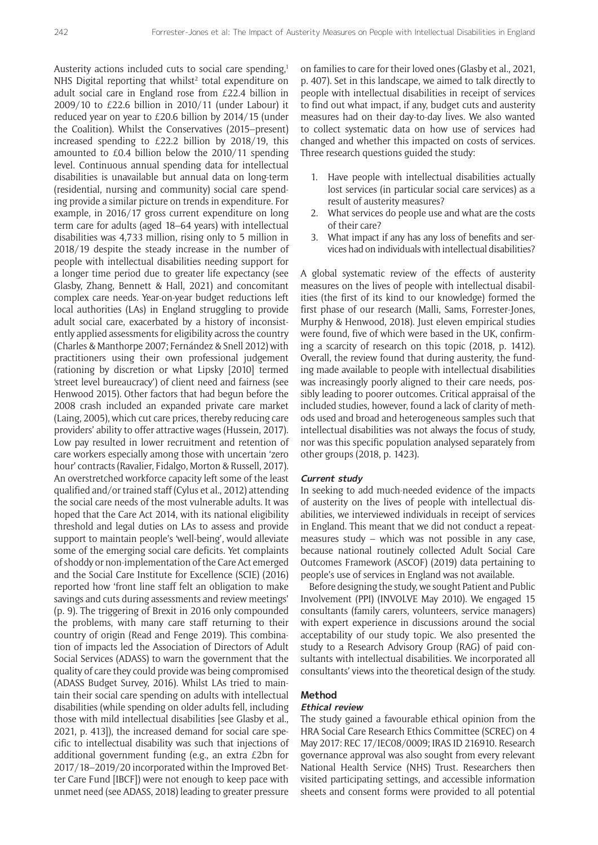Austerity actions included cuts to social care spending,<sup>1</sup> NHS Digital reporting that whilst<sup>2</sup> total expenditure on adult social care in England rose from £22.4 billion in 2009/10 to £22.6 billion in 2010/11 (under Labour) it reduced year on year to £20.6 billion by 2014/15 (under the Coalition). Whilst the Conservatives (2015–present) increased spending to £22.2 billion by 2018/19, this amounted to £0.4 billion below the 2010/11 spending level. Continuous annual spending data for intellectual disabilities is unavailable but annual data on long-term (residential, nursing and community) social care spending provide a similar picture on trends in expenditure. For example, in 2016/17 gross current expenditure on long term care for adults (aged 18–64 years) with intellectual disabilities was 4,733 million, rising only to 5 million in 2018/19 despite the steady increase in the number of people with intellectual disabilities needing support for a longer time period due to greater life expectancy (see Glasby, Zhang, Bennett & Hall, 2021) and concomitant complex care needs. Year-on-year budget reductions left local authorities (LAs) in England struggling to provide adult social care, exacerbated by a history of inconsistently applied assessments for eligibility across the country (Charles & Manthorpe 2007; Fernández & Snell 2012) with practitioners using their own professional judgement (rationing by discretion or what Lipsky [2010] termed 'street level bureaucracy') of client need and fairness (see Henwood 2015). Other factors that had begun before the 2008 crash included an expanded private care market (Laing, 2005), which cut care prices, thereby reducing care providers' ability to offer attractive wages (Hussein, 2017). Low pay resulted in lower recruitment and retention of care workers especially among those with uncertain 'zero hour' contracts (Ravalier, Fidalgo, Morton & Russell, 2017). An overstretched workforce capacity left some of the least qualified and/or trained staff (Cylus et al., 2012) attending the social care needs of the most vulnerable adults. It was hoped that the Care Act 2014, with its national eligibility threshold and legal duties on LAs to assess and provide support to maintain people's 'well-being', would alleviate some of the emerging social care deficits. Yet complaints of shoddy or non-implementation of the Care Act emerged and the Social Care Institute for Excellence (SCIE) (2016) reported how 'front line staff felt an obligation to make savings and cuts during assessments and review meetings' (p. 9). The triggering of Brexit in 2016 only compounded the problems, with many care staff returning to their country of origin (Read and Fenge 2019). This combination of impacts led the Association of Directors of Adult Social Services (ADASS) to warn the government that the quality of care they could provide was being compromised (ADASS Budget Survey, 2016). Whilst LAs tried to maintain their social care spending on adults with intellectual disabilities (while spending on older adults fell, including those with mild intellectual disabilities [see Glasby et al., 2021, p. 413]), the increased demand for social care specific to intellectual disability was such that injections of additional government funding (e.g., an extra £2bn for 2017/18–2019/20 incorporated within the Improved Better Care Fund [IBCF]) were not enough to keep pace with unmet need (see ADASS, 2018) leading to greater pressure

on families to care for their loved ones (Glasby et al., 2021, p. 407). Set in this landscape, we aimed to talk directly to people with intellectual disabilities in receipt of services to find out what impact, if any, budget cuts and austerity measures had on their day-to-day lives. We also wanted to collect systematic data on how use of services had changed and whether this impacted on costs of services. Three research questions guided the study:

- 1. Have people with intellectual disabilities actually lost services (in particular social care services) as a result of austerity measures?
- 2. What services do people use and what are the costs of their care?
- 3. What impact if any has any loss of benefits and services had on individuals with intellectual disabilities?

A global systematic review of the effects of austerity measures on the lives of people with intellectual disabilities (the first of its kind to our knowledge) formed the first phase of our research (Malli, Sams, Forrester-Jones, Murphy & Henwood, 2018). Just eleven empirical studies were found, five of which were based in the UK, confirming a scarcity of research on this topic (2018, p. 1412). Overall, the review found that during austerity, the funding made available to people with intellectual disabilities was increasingly poorly aligned to their care needs, possibly leading to poorer outcomes. Critical appraisal of the included studies, however, found a lack of clarity of methods used and broad and heterogeneous samples such that intellectual disabilities was not always the focus of study, nor was this specific population analysed separately from other groups (2018, p. 1423).

#### **Current study**

In seeking to add much-needed evidence of the impacts of austerity on the lives of people with intellectual disabilities, we interviewed individuals in receipt of services in England. This meant that we did not conduct a repeatmeasures study – which was not possible in any case, because national routinely collected Adult Social Care Outcomes Framework (ASCOF) (2019) data pertaining to people's use of services in England was not available.

Before designing the study, we sought Patient and Public Involvement (PPI) (INVOLVE May 2010). We engaged 15 consultants (family carers, volunteers, service managers) with expert experience in discussions around the social acceptability of our study topic. We also presented the study to a Research Advisory Group (RAG) of paid consultants with intellectual disabilities. We incorporated all consultants' views into the theoretical design of the study.

#### **Method**

#### **Ethical review**

The study gained a favourable ethical opinion from the HRA Social Care Research Ethics Committee (SCREC) on 4 May 2017: REC 17/IEC08/0009; IRAS ID 216910. Research governance approval was also sought from every relevant National Health Service (NHS) Trust. Researchers then visited participating settings, and accessible information sheets and consent forms were provided to all potential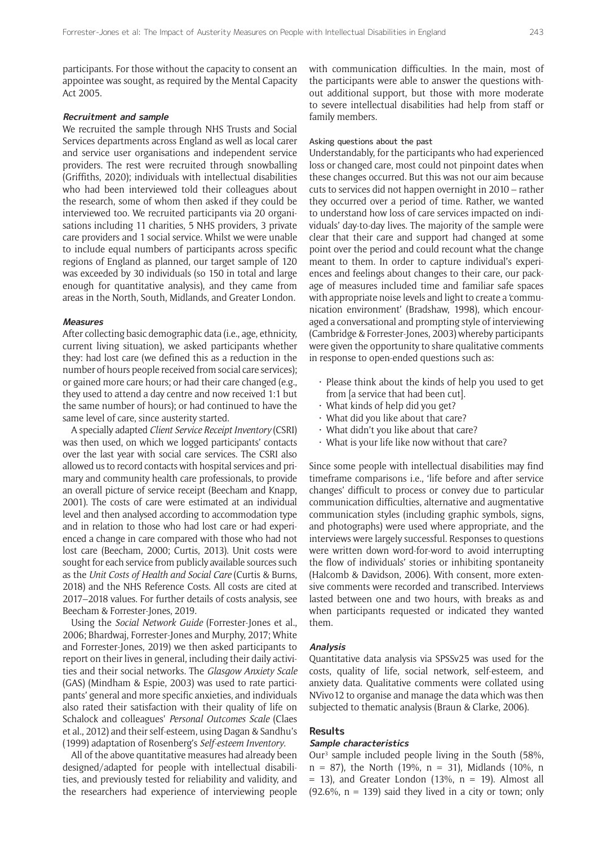participants. For those without the capacity to consent an appointee was sought, as required by the Mental Capacity Act 2005.

#### **Recruitment and sample**

We recruited the sample through NHS Trusts and Social Services departments across England as well as local carer and service user organisations and independent service providers. The rest were recruited through snowballing (Griffiths, 2020); individuals with intellectual disabilities who had been interviewed told their colleagues about the research, some of whom then asked if they could be interviewed too. We recruited participants via 20 organisations including 11 charities, 5 NHS providers, 3 private care providers and 1 social service. Whilst we were unable to include equal numbers of participants across specific regions of England as planned, our target sample of 120 was exceeded by 30 individuals (so 150 in total and large enough for quantitative analysis), and they came from areas in the North, South, Midlands, and Greater London.

#### **Measures**

After collecting basic demographic data (i.e., age, ethnicity, current living situation), we asked participants whether they: had lost care (we defined this as a reduction in the number of hours people received from social care services); or gained more care hours; or had their care changed (e.g., they used to attend a day centre and now received 1:1 but the same number of hours); or had continued to have the same level of care, since austerity started.

A specially adapted *Client Service Receipt Inventory* (CSRI) was then used, on which we logged participants' contacts over the last year with social care services. The CSRI also allowed us to record contacts with hospital services and primary and community health care professionals, to provide an overall picture of service receipt (Beecham and Knapp, 2001). The costs of care were estimated at an individual level and then analysed according to accommodation type and in relation to those who had lost care or had experienced a change in care compared with those who had not lost care (Beecham, 2000; Curtis, 2013). Unit costs were sought for each service from publicly available sources such as the *Unit Costs of Health and Social Care* (Curtis & Burns, 2018) and the NHS Reference Costs. All costs are cited at 2017–2018 values. For further details of costs analysis, see Beecham & Forrester-Jones, 2019.

Using the *Social Network Guide* (Forrester-Jones et al., 2006; Bhardwaj, Forrester-Jones and Murphy, 2017; White and Forrester-Jones, 2019) we then asked participants to report on their lives in general, including their daily activities and their social networks. The *Glasgow Anxiety Scale* (GAS) (Mindham & Espie, 2003) was used to rate participants' general and more specific anxieties, and individuals also rated their satisfaction with their quality of life on Schalock and colleagues' *Personal Outcomes Scale* (Claes et al., 2012) and their self-esteem, using Dagan & Sandhu's (1999) adaptation of Rosenberg's *Self-esteem Inventory*.

All of the above quantitative measures had already been designed/adapted for people with intellectual disabilities, and previously tested for reliability and validity, and the researchers had experience of interviewing people with communication difficulties. In the main, most of the participants were able to answer the questions without additional support, but those with more moderate to severe intellectual disabilities had help from staff or family members.

#### Asking questions about the past

Understandably, for the participants who had experienced loss or changed care, most could not pinpoint dates when these changes occurred. But this was not our aim because cuts to services did not happen overnight in 2010 – rather they occurred over a period of time. Rather, we wanted to understand how loss of care services impacted on individuals' day-to-day lives. The majority of the sample were clear that their care and support had changed at some point over the period and could recount what the change meant to them. In order to capture individual's experiences and feelings about changes to their care, our package of measures included time and familiar safe spaces with appropriate noise levels and light to create a 'communication environment' (Bradshaw, 1998), which encouraged a conversational and prompting style of interviewing (Cambridge & Forrester-Jones, 2003) whereby participants were given the opportunity to share qualitative comments in response to open-ended questions such as:

- Please think about the kinds of help you used to get from [a service that had been cut].
- $\cdot$  What kinds of help did you get?
- $\cdot$  What did you like about that care?
- $\cdot$  What didn't you like about that care?
- $\cdot$  What is your life like now without that care?

Since some people with intellectual disabilities may find timeframe comparisons i.e., 'life before and after service changes' difficult to process or convey due to particular communication difficulties, alternative and augmentative communication styles (including graphic symbols, signs, and photographs) were used where appropriate, and the interviews were largely successful. Responses to questions were written down word-for-word to avoid interrupting the flow of individuals' stories or inhibiting spontaneity (Halcomb & Davidson, 2006). With consent, more extensive comments were recorded and transcribed. Interviews lasted between one and two hours, with breaks as and when participants requested or indicated they wanted them.

#### **Analysis**

Quantitative data analysis via SPSSv25 was used for the costs, quality of life, social network, self-esteem, and anxiety data. Qualitative comments were collated using NVivo12 to organise and manage the data which was then subjected to thematic analysis (Braun & Clarke, 2006).

#### **Results**

#### **Sample characteristics**

Our3 sample included people living in the South (58%,  $n = 87$ ), the North (19%,  $n = 31$ ), Midlands (10%, n  $=$  13), and Greater London (13%,  $n = 19$ ). Almost all  $(92.6\%$ ,  $n = 139)$  said they lived in a city or town; only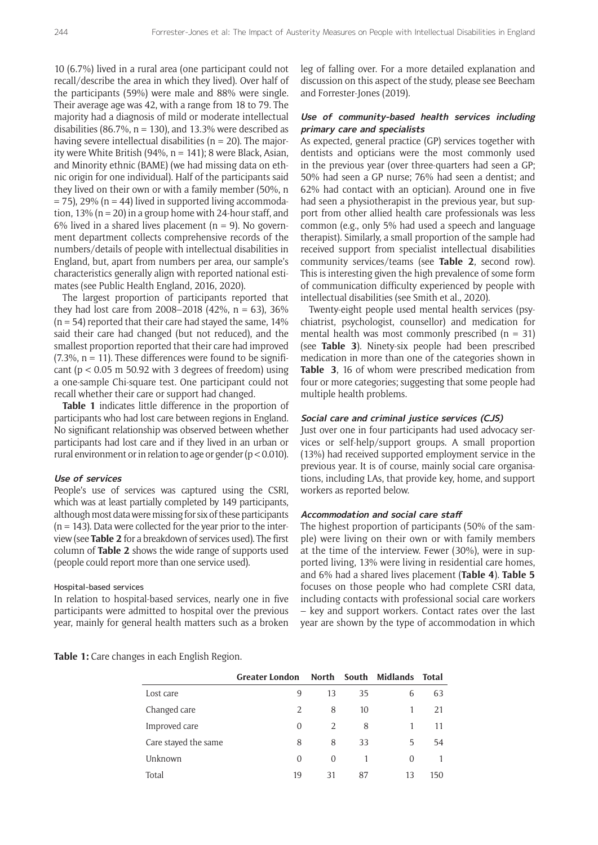10 (6.7%) lived in a rural area (one participant could not recall/describe the area in which they lived). Over half of the participants (59%) were male and 88% were single. Their average age was 42, with a range from 18 to 79. The majority had a diagnosis of mild or moderate intellectual disabilities (86.7%,  $n = 130$ ), and 13.3% were described as having severe intellectual disabilities ( $n = 20$ ). The majority were White British (94%,  $n = 141$ ); 8 were Black, Asian, and Minority ethnic (BAME) (we had missing data on ethnic origin for one individual). Half of the participants said they lived on their own or with a family member (50%, n  $=$  75), 29% (n  $=$  44) lived in supported living accommodation, 13% ( $n = 20$ ) in a group home with 24-hour staff, and 6% lived in a shared lives placement ( $n = 9$ ). No government department collects comprehensive records of the numbers/details of people with intellectual disabilities in England, but, apart from numbers per area, our sample's characteristics generally align with reported national estimates (see Public Health England, 2016, 2020).

The largest proportion of participants reported that they had lost care from 2008–2018  $(42\% , n = 63)$ , 36%  $(n = 54)$  reported that their care had stayed the same, 14% said their care had changed (but not reduced), and the smallest proportion reported that their care had improved  $(7.3\% \text{ m} = 11)$ . These differences were found to be significant ( $p < 0.05$  m 50.92 with 3 degrees of freedom) using a one-sample Chi-square test. One participant could not recall whether their care or support had changed.

**Table 1** indicates little difference in the proportion of participants who had lost care between regions in England. No significant relationship was observed between whether participants had lost care and if they lived in an urban or rural environment or in relation to age or gender (p < 0.010).

#### **Use of services**

People's use of services was captured using the CSRI, which was at least partially completed by 149 participants, although most data were missing for six of these participants  $(n = 143)$ . Data were collected for the year prior to the interview (see **Table 2** for a breakdown of services used). The first column of **Table 2** shows the wide range of supports used (people could report more than one service used).

#### Hospital-based services

In relation to hospital-based services, nearly one in five participants were admitted to hospital over the previous year, mainly for general health matters such as a broken leg of falling over. For a more detailed explanation and discussion on this aspect of the study, please see Beecham and Forrester-Jones (2019).

#### **Use of community-based health services including primary care and specialists**

As expected, general practice (GP) services together with dentists and opticians were the most commonly used in the previous year (over three-quarters had seen a GP; 50% had seen a GP nurse; 76% had seen a dentist; and 62% had contact with an optician). Around one in five had seen a physiotherapist in the previous year, but support from other allied health care professionals was less common (e.g., only 5% had used a speech and language therapist). Similarly, a small proportion of the sample had received support from specialist intellectual disabilities community services/teams (see **Table 2**, second row). This is interesting given the high prevalence of some form of communication difficulty experienced by people with intellectual disabilities (see Smith et al., 2020).

Twenty-eight people used mental health services (psychiatrist, psychologist, counsellor) and medication for mental health was most commonly prescribed  $(n = 31)$ (see **Table 3**). Ninety-six people had been prescribed medication in more than one of the categories shown in **Table 3**, 16 of whom were prescribed medication from four or more categories; suggesting that some people had multiple health problems.

#### **Social care and criminal justice services (CJS)**

Just over one in four participants had used advocacy services or self-help/support groups. A small proportion (13%) had received supported employment service in the previous year. It is of course, mainly social care organisations, including LAs, that provide key, home, and support workers as reported below.

#### **Accommodation and social care staff**

The highest proportion of participants (50% of the sample) were living on their own or with family members at the time of the interview. Fewer (30%), were in supported living, 13% were living in residential care homes, and 6% had a shared lives placement (**Table 4**). **Table 5** focuses on those people who had complete CSRI data, including contacts with professional social care workers – key and support workers. Contact rates over the last year are shown by the type of accommodation in which

**Table 1:** Care changes in each English Region.

|                      | <b>Greater London</b> |    |    | North South Midlands Total |     |
|----------------------|-----------------------|----|----|----------------------------|-----|
| Lost care            | 9                     | 13 | 35 | 6                          | 63  |
| Changed care         | 2                     | 8  | 10 |                            | 21  |
| Improved care        | $\Omega$              |    | 8  |                            | 11  |
| Care stayed the same | 8                     | 8  | 33 | 5                          | 54  |
| Unknown              | $\Omega$              | 0  |    | 0                          |     |
| Total                | 19                    | 31 | 87 | 13                         | 150 |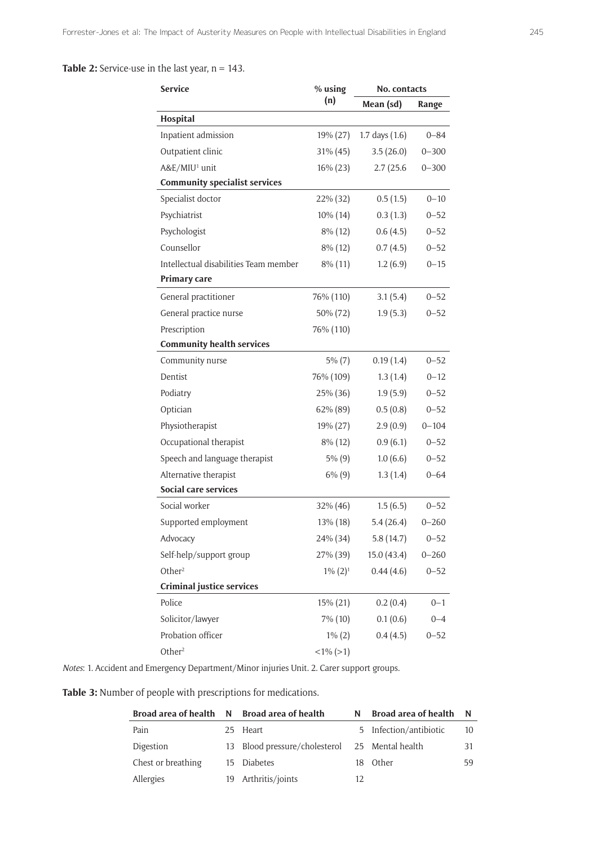#### **Table 2:** Service-use in the last year, n = 143.

| <b>Service</b>                        | % using     | No. contacts     |           |  |
|---------------------------------------|-------------|------------------|-----------|--|
|                                       | (n)         | Mean (sd)        | Range     |  |
| Hospital                              |             |                  |           |  |
| Inpatient admission                   | 19% (27)    | 1.7 days $(1.6)$ | $0 - 84$  |  |
| Outpatient clinic                     | 31% (45)    | 3.5(26.0)        | $0 - 300$ |  |
| A&E/MIU <sup>1</sup> unit             | 16% (23)    | 2.7(25.6)        | $0 - 300$ |  |
| <b>Community specialist services</b>  |             |                  |           |  |
| Specialist doctor                     | 22% (32)    | 0.5(1.5)         | $0 - 10$  |  |
| Psychiatrist                          | $10\%$ (14) | 0.3(1.3)         | $0 - 52$  |  |
| Psychologist                          | 8% (12)     | 0.6(4.5)         | $0 - 52$  |  |
| Counsellor                            | 8% (12)     | 0.7(4.5)         | $0 - 52$  |  |
| Intellectual disabilities Team member | $8\%$ (11)  | 1.2(6.9)         | $0 - 15$  |  |
| Primary care                          |             |                  |           |  |
| General practitioner                  | 76% (110)   | 3.1(5.4)         | $0 - 52$  |  |
| General practice nurse                | 50% (72)    | 1.9(5.3)         | $0 - 52$  |  |
| Prescription                          | 76% (110)   |                  |           |  |
| <b>Community health services</b>      |             |                  |           |  |
| Community nurse                       | $5\%$ (7)   | 0.19(1.4)        | $0 - 52$  |  |
| Dentist                               | 76% (109)   | 1.3(1.4)         | $0 - 12$  |  |
| Podiatry                              | 25% (36)    | 1.9(5.9)         | $0 - 52$  |  |
| Optician                              | 62% (89)    | 0.5(0.8)         | $0 - 52$  |  |
| Physiotherapist                       | 19% (27)    | 2.9(0.9)         | $0 - 104$ |  |
| Occupational therapist                | 8% (12)     | 0.9(6.1)         | $0 - 52$  |  |
| Speech and language therapist         | $5\%$ (9)   | 1.0(6.6)         | $0 - 52$  |  |
| Alternative therapist                 | $6\%$ $(9)$ | 1.3(1.4)         | $0 - 64$  |  |
| Social care services                  |             |                  |           |  |
| Social worker                         | 32% (46)    | 1.5(6.5)         | $0 - 52$  |  |
| Supported employment                  | 13% (18)    | 5.4(26.4)        | $0 - 260$ |  |
| Advocacy                              | 24% (34)    | 5.8(14.7)        | $0 - 52$  |  |
| Self-help/support group               | 27% (39)    | 15.0 (43.4)      | $0 - 260$ |  |
| Other <sup>2</sup>                    | $1\% (2)^1$ | 0.44(4.6)        | $0 - 52$  |  |
| <b>Criminal justice services</b>      |             |                  |           |  |
| Police                                | 15% (21)    | 0.2(0.4)         | $0 - 1$   |  |
| Solicitor/lawyer                      | 7% (10)     | 0.1(0.6)         | $0 - 4$   |  |
| Probation officer                     | $1\% (2)$   | 0.4(4.5)         | $0 - 52$  |  |
| Other <sup>2</sup>                    | $<1\%$ (>1) |                  |           |  |

*Notes*: 1. Accident and Emergency Department/Minor injuries Unit. 2. Carer support groups.

**Table 3:** Number of people with prescriptions for medications.

|                    | Broad area of health N Broad area of health    | N   | Broad area of health N |    |
|--------------------|------------------------------------------------|-----|------------------------|----|
| Pain               | 25 Heart                                       |     | 5 Infection/antibiotic | 10 |
| Digestion          | 13 Blood pressure/cholesterol 25 Mental health |     |                        | 31 |
| Chest or breathing | 15 Diabetes                                    | 18. | Other                  | 59 |
| Allergies          | 19 Arthritis/joints                            |     |                        |    |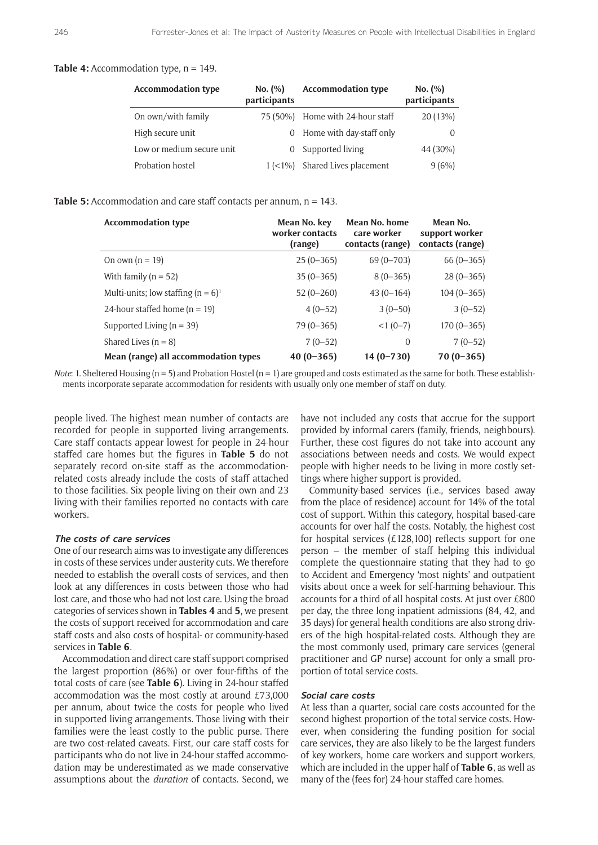#### **Table 4:** Accommodation type, n = 149.

| <b>Accommodation type</b> | No. (%)<br>participants | <b>Accommodation type</b> | No. $(\%)$<br>participants |
|---------------------------|-------------------------|---------------------------|----------------------------|
| On own/with family        | 75 (50%)                | Home with 24-hour staff   | 20(13%)                    |
| High secure unit          | 0                       | Home with day-staff only  |                            |
| Low or medium secure unit |                         | Supported living          | 44 (30%)                   |
| Probation hostel          | $1 (< 1\%)$             | Shared Lives placement    | 9(6%)                      |

#### **Table 5:** Accommodation and care staff contacts per annum, n = 143.

| <b>Accommodation type</b>             | Mean No. key<br>worker contacts<br>(range) | Mean No. home<br>care worker<br>contacts (range) | Mean No.<br>support worker<br>contacts (range) |
|---------------------------------------|--------------------------------------------|--------------------------------------------------|------------------------------------------------|
| On own $(n = 19)$                     | $25(0-365)$                                | $69(0 - 703)$                                    | $66(0-365)$                                    |
| With family $(n = 52)$                | $35(0-365)$                                | $8(0-365)$                                       | $28(0-365)$                                    |
| Multi-units; low staffing $(n = 6)^1$ | $52(0-260)$                                | $43(0-164)$                                      | $104(0-365)$                                   |
| 24-hour staffed home $(n = 19)$       | $4(0-52)$                                  | $3(0-50)$                                        | $3(0-52)$                                      |
| Supported Living ( $n = 39$ )         | $79(0 - 365)$                              | $<1(0-7)$                                        | $170(0-365)$                                   |
| Shared Lives $(n = 8)$                | $7(0-52)$                                  | $\overline{0}$                                   | $7(0-52)$                                      |
| Mean (range) all accommodation types  | $40(0-365)$                                | $14(0 - 730)$                                    | $70(0-365)$                                    |

*Note*: 1. Sheltered Housing ( $n = 5$ ) and Probation Hostel ( $n = 1$ ) are grouped and costs estimated as the same for both. These establishments incorporate separate accommodation for residents with usually only one member of staff on duty.

people lived. The highest mean number of contacts are recorded for people in supported living arrangements. Care staff contacts appear lowest for people in 24-hour staffed care homes but the figures in **Table 5** do not separately record on-site staff as the accommodationrelated costs already include the costs of staff attached to those facilities. Six people living on their own and 23 living with their families reported no contacts with care workers.

#### **The costs of care services**

One of our research aims was to investigate any differences in costs of these services under austerity cuts. We therefore needed to establish the overall costs of services, and then look at any differences in costs between those who had lost care, and those who had not lost care. Using the broad categories of services shown in **Tables 4** and **5**, we present the costs of support received for accommodation and care staff costs and also costs of hospital- or community-based services in **Table 6**.

Accommodation and direct care staff support comprised the largest proportion (86%) or over four-fifths of the total costs of care (see **Table 6**). Living in 24-hour staffed accommodation was the most costly at around £73,000 per annum, about twice the costs for people who lived in supported living arrangements. Those living with their families were the least costly to the public purse. There are two cost-related caveats. First, our care staff costs for participants who do not live in 24-hour staffed accommodation may be underestimated as we made conservative assumptions about the *duration* of contacts. Second, we

have not included any costs that accrue for the support provided by informal carers (family, friends, neighbours). Further, these cost figures do not take into account any associations between needs and costs. We would expect people with higher needs to be living in more costly settings where higher support is provided.

Community-based services (i.e., services based away from the place of residence) account for 14% of the total cost of support. Within this category, hospital based-care accounts for over half the costs. Notably, the highest cost for hospital services (£128,100) reflects support for one person – the member of staff helping this individual complete the questionnaire stating that they had to go to Accident and Emergency 'most nights' and outpatient visits about once a week for self-harming behaviour. This accounts for a third of all hospital costs. At just over £800 per day, the three long inpatient admissions (84, 42, and 35 days) for general health conditions are also strong drivers of the high hospital-related costs. Although they are the most commonly used, primary care services (general practitioner and GP nurse) account for only a small proportion of total service costs.

#### **Social care costs**

At less than a quarter, social care costs accounted for the second highest proportion of the total service costs. However, when considering the funding position for social care services, they are also likely to be the largest funders of key workers, home care workers and support workers, which are included in the upper half of **Table 6**, as well as many of the (fees for) 24-hour staffed care homes.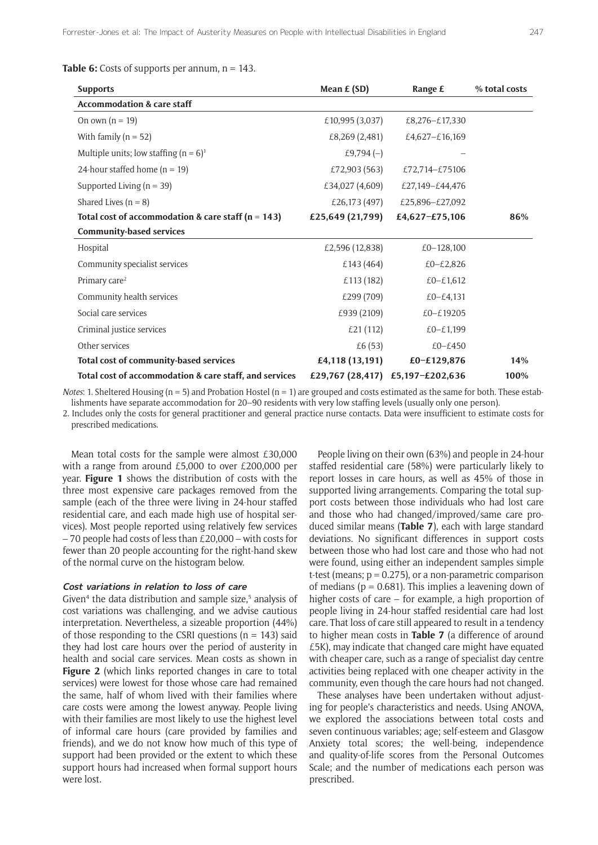**Table 6:** Costs of supports per annum, n = 143.

| <b>Supports</b>                                        | Mean $E(SD)$     | Range £                          | % total costs |
|--------------------------------------------------------|------------------|----------------------------------|---------------|
| <b>Accommodation &amp; care staff</b>                  |                  |                                  |               |
| On own $(n = 19)$                                      | £10,995 (3,037)  | £8,276-£17,330                   |               |
| With family $(n = 52)$                                 | £8,269 (2,481)   | £4,627-£16,169                   |               |
| Multiple units; low staffing $(n = 6)^1$               | £9,794 $(-)$     |                                  |               |
| 24-hour staffed home ( $n = 19$ )                      | £72,903 (563)    | £72,714-£75106                   |               |
| Supported Living ( $n = 39$ )                          | £34,027 (4,609)  | £27,149-£44,476                  |               |
| Shared Lives $(n = 8)$                                 | £26,173 (497)    | £25,896-£27,092                  |               |
| Total cost of accommodation & care staff ( $n = 143$ ) | £25,649 (21,799) | £4,627-£75,106                   | 86%           |
| <b>Community-based services</b>                        |                  |                                  |               |
| Hospital                                               | £2,596 (12,838)  | £0-128,100                       |               |
| Community specialist services                          | £143 (464)       | £0-£2,826                        |               |
| Primary care <sup>2</sup>                              | £113 (182)       | £0-£1,612                        |               |
| Community health services                              | £299 (709)       | £0 $-£4,131$                     |               |
| Social care services                                   | £939 (2109)      | £0-£19205                        |               |
| Criminal justice services                              | £21 (112)        | £0-£1,199                        |               |
| Other services                                         | £6(53)           | £0-£450                          |               |
| Total cost of community-based services                 | £4,118 (13,191)  | £0-£129,876                      | 14%           |
| Total cost of accommodation & care staff, and services |                  | £29,767 (28,417) £5,197-£202,636 | 100%          |

*Notes*: 1. Sheltered Housing (n = 5) and Probation Hostel (n = 1) are grouped and costs estimated as the same for both. These establishments have separate accommodation for 20–90 residents with very low staffing levels (usually only one person).

2. Includes only the costs for general practitioner and general practice nurse contacts. Data were insufficient to estimate costs for prescribed medications.

Mean total costs for the sample were almost £30,000 with a range from around £5,000 to over £200,000 per year. **Figure 1** shows the distribution of costs with the three most expensive care packages removed from the sample (each of the three were living in 24-hour staffed residential care, and each made high use of hospital services). Most people reported using relatively few services – 70 people had costs of less than £20,000 – with costs for fewer than 20 people accounting for the right-hand skew of the normal curve on the histogram below.

#### **Cost variations in relation to loss of care**

Given<sup>4</sup> the data distribution and sample size,<sup>5</sup> analysis of cost variations was challenging, and we advise cautious interpretation. Nevertheless, a sizeable proportion (44%) of those responding to the CSRI questions ( $n = 143$ ) said they had lost care hours over the period of austerity in health and social care services. Mean costs as shown in **Figure 2** (which links reported changes in care to total services) were lowest for those whose care had remained the same, half of whom lived with their families where care costs were among the lowest anyway. People living with their families are most likely to use the highest level of informal care hours (care provided by families and friends), and we do not know how much of this type of support had been provided or the extent to which these support hours had increased when formal support hours were lost.

People living on their own (63%) and people in 24-hour staffed residential care (58%) were particularly likely to report losses in care hours, as well as 45% of those in supported living arrangements. Comparing the total support costs between those individuals who had lost care and those who had changed/improved/same care produced similar means (**Table 7**), each with large standard deviations. No significant differences in support costs between those who had lost care and those who had not were found, using either an independent samples simple t-test (means;  $p = 0.275$ ), or a non-parametric comparison of medians ( $p = 0.681$ ). This implies a leavening down of higher costs of care – for example, a high proportion of people living in 24-hour staffed residential care had lost care. That loss of care still appeared to result in a tendency to higher mean costs in **Table 7** (a difference of around £5K), may indicate that changed care might have equated with cheaper care, such as a range of specialist day centre activities being replaced with one cheaper activity in the community, even though the care hours had not changed.

These analyses have been undertaken without adjusting for people's characteristics and needs. Using ANOVA, we explored the associations between total costs and seven continuous variables; age; self-esteem and Glasgow Anxiety total scores; the well-being, independence and quality-of-life scores from the Personal Outcomes Scale; and the number of medications each person was prescribed.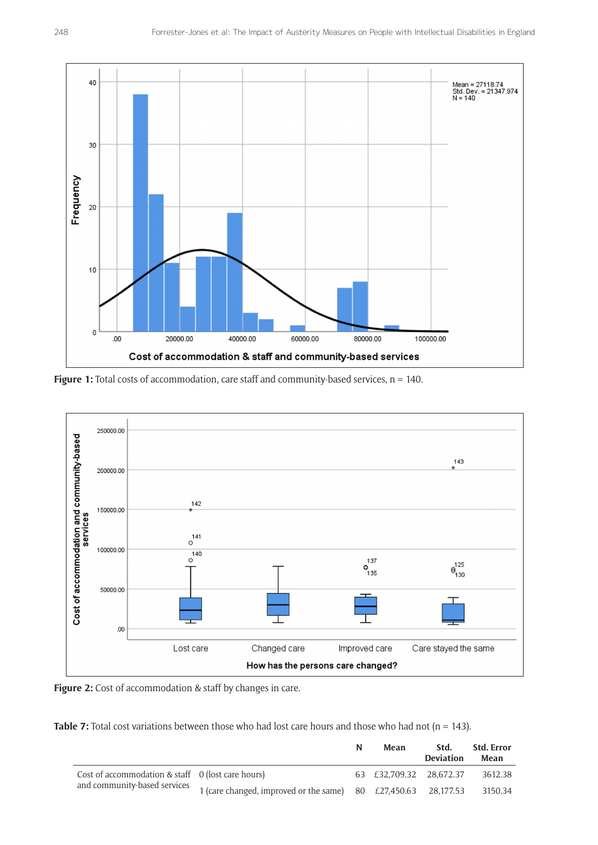

Figure 1: Total costs of accommodation, care staff and community-based services, n = 140.





**Table 7:** Total cost variations between those who had lost care hours and those who had not  $(n = 143)$ .

|                                                                                                                                                                                  | N | Mean                            | Std.<br><b>Deviation</b> | Std. Error<br>Mean |
|----------------------------------------------------------------------------------------------------------------------------------------------------------------------------------|---|---------------------------------|--------------------------|--------------------|
| Cost of accommodation & staff $\theta$ (lost care hours)<br>and community-based services $\frac{1}{1}$ (care changed, improved or the same) 80 $\pm$ 27,450.63 28,177.53 3150.34 |   | 63 £32.709.32 28.672.37 3612.38 |                          |                    |
|                                                                                                                                                                                  |   |                                 |                          |                    |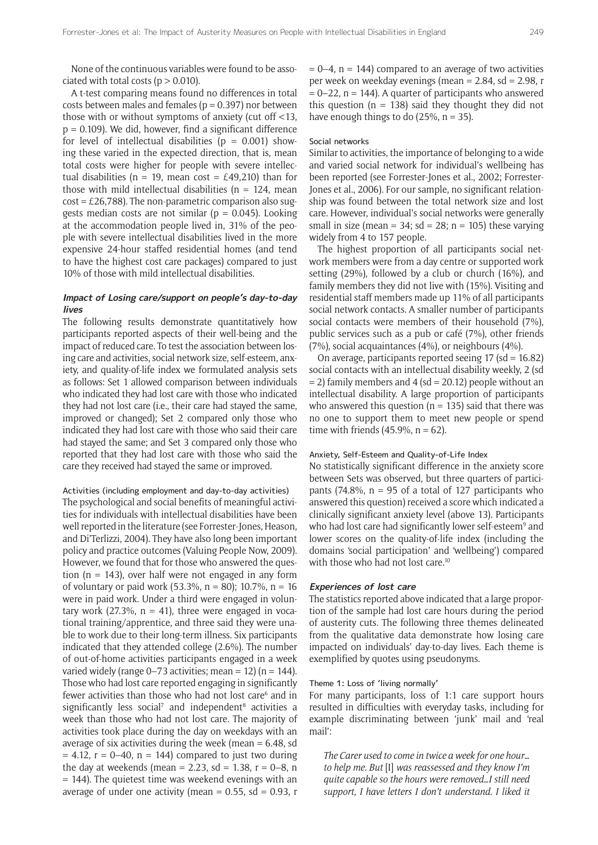None of the continuous variables were found to be associated with total costs ( $p > 0.010$ ).

A t-test comparing means found no differences in total costs between males and females ( $p = 0.397$ ) nor between those with or without symptoms of anxiety (cut off <13,  $p = 0.109$ ). We did, however, find a significant difference for level of intellectual disabilities ( $p = 0.001$ ) showing these varied in the expected direction, that is, mean total costs were higher for people with severe intellectual disabilities (n = 19, mean cost = £49,210) than for those with mild intellectual disabilities ( $n = 124$ , mean  $cost = £26,788$ ). The non-parametric comparison also suggests median costs are not similar ( $p = 0.045$ ). Looking at the accommodation people lived in, 31% of the people with severe intellectual disabilities lived in the more expensive 24-hour staffed residential homes (and tend to have the highest cost care packages) compared to just 10% of those with mild intellectual disabilities.

#### **Impact of Losing care/support on people's day-to-day lives**

The following results demonstrate quantitatively how participants reported aspects of their well-being and the impact of reduced care. To test the association between losing care and activities, social network size, self-esteem, anxiety, and quality-of-life index we formulated analysis sets as follows: Set 1 allowed comparison between individuals who indicated they had lost care with those who indicated they had not lost care (i.e., their care had stayed the same, improved or changed); Set 2 compared only those who indicated they had lost care with those who said their care had stayed the same; and Set 3 compared only those who reported that they had lost care with those who said the care they received had stayed the same or improved.

#### Activities (including employment and day-to-day activities) The psychological and social benefits of meaningful activities for individuals with intellectual disabilities have been well reported in the literature (see Forrester-Jones, Heason, and Di'Terlizzi, 2004). They have also long been important policy and practice outcomes (Valuing People Now, 2009). However, we found that for those who answered the question ( $n = 143$ ), over half were not engaged in any form of voluntary or paid work (53.3%,  $n = 80$ ); 10.7%,  $n = 16$ were in paid work. Under a third were engaged in voluntary work  $(27.3\% \nvert n = 41)$ , three were engaged in yocational training/apprentice, and three said they were unable to work due to their long-term illness. Six participants indicated that they attended college (2.6%). The number of out-of-home activities participants engaged in a week varied widely (range  $0-73$  activities; mean = 12) (n = 144). Those who had lost care reported engaging in significantly fewer activities than those who had not lost care<sup>6</sup> and in significantly less social<sup>7</sup> and independent<sup>8</sup> activities a week than those who had not lost care. The majority of activities took place during the day on weekdays with an average of six activities during the week (mean  $= 6.48$ , sd  $= 4.12$ ,  $r = 0-40$ ,  $n = 144$ ) compared to just two during the day at weekends (mean = 2.23, sd = 1.38,  $r = 0-8$ , n  $= 144$ ). The quietest time was weekend evenings with an average of under one activity (mean  $= 0.55$ , sd  $= 0.93$ , r

 $= 0-4$ ,  $n = 144$ ) compared to an average of two activities per week on weekday evenings (mean  $= 2.84$ , sd  $= 2.98$ , r  $= 0 - 22$ , n = 144). A quarter of participants who answered this question ( $n = 138$ ) said they thought they did not have enough things to do  $(25\% \text{ n} = 35)$ .

#### Social networks

Similar to activities, the importance of belonging to a wide and varied social network for individual's wellbeing has been reported (see Forrester-Jones et al., 2002; Forrester-Jones et al., 2006). For our sample, no significant relationship was found between the total network size and lost care. However, individual's social networks were generally small in size (mean =  $34$ ; sd =  $28$ ; n = 105) these varying widely from 4 to 157 people.

The highest proportion of all participants social network members were from a day centre or supported work setting (29%), followed by a club or church (16%), and family members they did not live with (15%). Visiting and residential staff members made up 11% of all participants social network contacts. A smaller number of participants social contacts were members of their household (7%), public services such as a pub or café (7%), other friends (7%), social acquaintances (4%), or neighbours (4%).

On average, participants reported seeing  $17$  (sd =  $16.82$ ) social contacts with an intellectual disability weekly, 2 (sd  $= 2$ ) family members and 4 (sd  $= 20.12$ ) people without an intellectual disability. A large proportion of participants who answered this question ( $n = 135$ ) said that there was no one to support them to meet new people or spend time with friends (45.9%,  $n = 62$ ).

#### Anxiety, Self-Esteem and Quality-of-Life Index

No statistically significant difference in the anxiety score between Sets was observed, but three quarters of participants (74.8%,  $n = 95$  of a total of 127 participants who answered this question) received a score which indicated a clinically significant anxiety level (above 13). Participants who had lost care had significantly lower self-esteem<sup>9</sup> and lower scores on the quality-of-life index (including the domains 'social participation' and 'wellbeing') compared with those who had not lost care.<sup>10</sup>

#### **Experiences of lost care**

The statistics reported above indicated that a large proportion of the sample had lost care hours during the period of austerity cuts. The following three themes delineated from the qualitative data demonstrate how losing care impacted on individuals' day-to-day lives. Each theme is exemplified by quotes using pseudonyms.

#### Theme 1: Loss of 'living normally'

For many participants, loss of 1:1 care support hours resulted in difficulties with everyday tasks, including for example discriminating between 'junk' mail and 'real mail':

*The Carer used to come in twice a week for one hour… to help me. But* [I] *was reassessed and they know I'm quite capable so the hours were removed…I still need support, I have letters I don't understand. I liked it*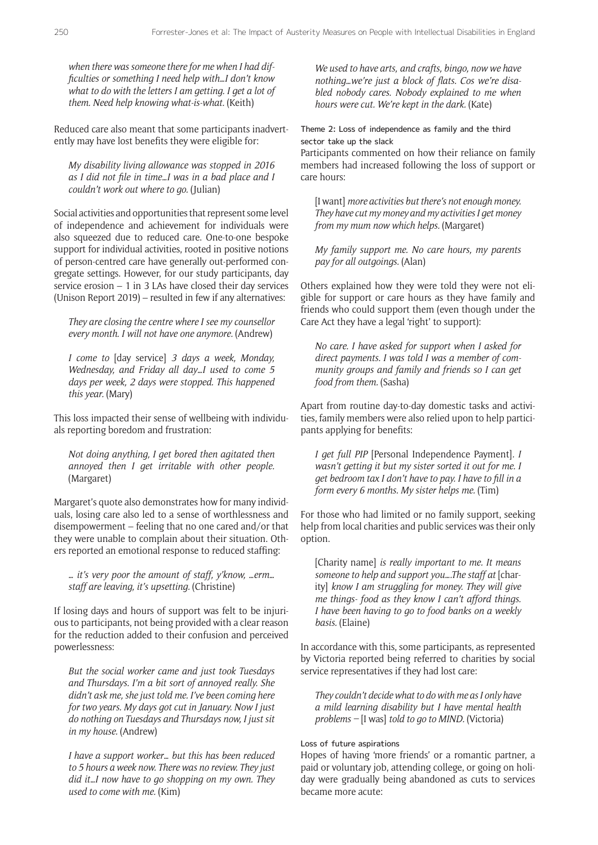*when there was someone there for me when I had difficulties or something I need help with…I don't know what to do with the letters I am getting. I get a lot of them. Need help knowing what-is-what.* (Keith)

Reduced care also meant that some participants inadvertently may have lost benefits they were eligible for:

*My disability living allowance was stopped in 2016 as I did not file in time…I was in a bad place and I couldn't work out where to go.* (Julian)

Social activities and opportunities that represent some level of independence and achievement for individuals were also squeezed due to reduced care. One-to-one bespoke support for individual activities, rooted in positive notions of person-centred care have generally out-performed congregate settings. However, for our study participants, day service erosion  $-1$  in 3 LAs have closed their day services (Unison Report 2019) – resulted in few if any alternatives:

*They are closing the centre where I see my counsellor every month. I will not have one anymore.* (Andrew)

*I come to* [day service] *3 days a week, Monday, Wednesday, and Friday all day…I used to come 5 days per week, 2 days were stopped. This happened this year.* (Mary)

This loss impacted their sense of wellbeing with individuals reporting boredom and frustration:

*Not doing anything, I get bored then agitated then annoyed then I get irritable with other people.*  (Margaret)

Margaret's quote also demonstrates how for many individuals, losing care also led to a sense of worthlessness and disempowerment – feeling that no one cared and/or that they were unable to complain about their situation. Others reported an emotional response to reduced staffing:

*… it's very poor the amount of staff, y'know, …erm… staff are leaving, it's upsetting.* (Christine)

If losing days and hours of support was felt to be injurious to participants, not being provided with a clear reason for the reduction added to their confusion and perceived powerlessness:

*But the social worker came and just took Tuesdays and Thursdays. I'm a bit sort of annoyed really. She didn't ask me, she just told me. I've been coming here for two years. My days got cut in January. Now I just do nothing on Tuesdays and Thursdays now, I just sit in my house.* (Andrew)

*I have a support worker*… *but this has been reduced to 5 hours a week now. There was no review. They just did it…I now have to go shopping on my own. They used to come with me.* (Kim)

*We used to have arts, and crafts, bingo, now we have nothing…we're just a block of flats. Cos we're disabled nobody cares. Nobody explained to me when hours were cut. We're kept in the dark.* (Kate)

Theme 2: Loss of independence as family and the third sector take up the slack

Participants commented on how their reliance on family members had increased following the loss of support or care hours:

[I want] *more activities but there's not enough money. They have cut my money and my activities I get money from my mum now which helps.* (Margaret)

*My family support me. No care hours, my parents pay for all outgoings.* (Alan)

Others explained how they were told they were not eligible for support or care hours as they have family and friends who could support them (even though under the Care Act they have a legal 'right' to support):

*No care. I have asked for support when I asked for direct payments. I was told I was a member of community groups and family and friends so I can get food from them.* (Sasha)

Apart from routine day-to-day domestic tasks and activities, family members were also relied upon to help participants applying for benefits:

*I get full PIP* [Personal Independence Payment]*. I wasn't getting it but my sister sorted it out for me. I get bedroom tax I don't have to pay. I have to fill in a form every 6 months. My sister helps me.* (Tim)

For those who had limited or no family support, seeking help from local charities and public services was their only option.

[Charity name] *is really important to me. It means someone to help and support you….The staff at* [charity] *know I am struggling for money. They will give me things- food as they know I can't afford things. I have been having to go to food banks on a weekly basis.* (Elaine)

In accordance with this, some participants, as represented by Victoria reported being referred to charities by social service representatives if they had lost care:

*They couldn't decide what to do with me as I only have a mild learning disability but I have mental health problems –* [I was] *told to go to MIND.* (Victoria)

#### Loss of future aspirations

Hopes of having 'more friends' or a romantic partner, a paid or voluntary job, attending college, or going on holiday were gradually being abandoned as cuts to services became more acute: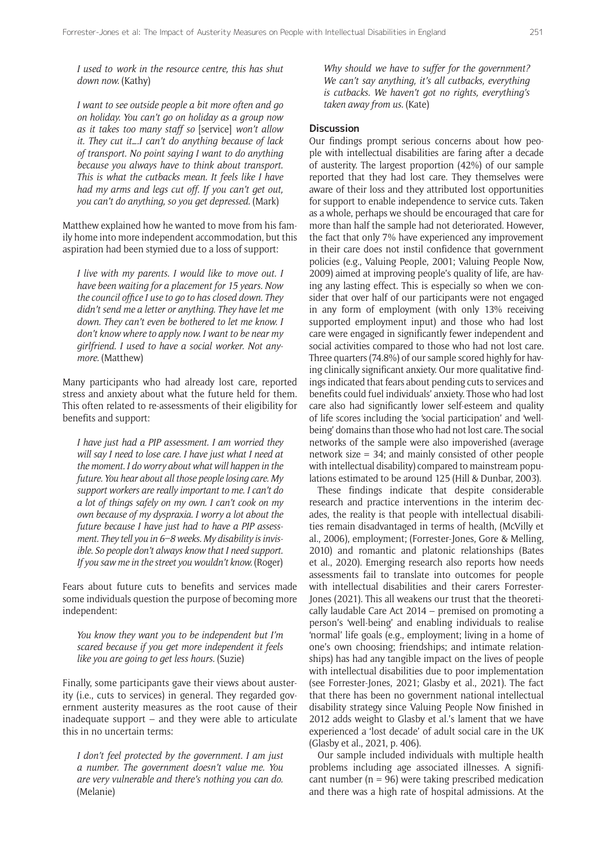*I used to work in the resource centre, this has shut down now.* (Kathy)

*I want to see outside people a bit more often and go on holiday. You can't go on holiday as a group now as it takes too many staff so* [service] *won't allow it. They cut it….I can't do anything because of lack of transport. No point saying I want to do anything because you always have to think about transport. This is what the cutbacks mean. It feels like I have had my arms and legs cut off. If you can't get out, you can't do anything, so you get depressed.* (Mark)

Matthew explained how he wanted to move from his family home into more independent accommodation, but this aspiration had been stymied due to a loss of support:

*I live with my parents. I would like to move out. I have been waiting for a placement for 15 years. Now the council office I use to go to has closed down. They didn't send me a letter or anything. They have let me down. They can't even be bothered to let me know. I don't know where to apply now. I want to be near my girlfriend. I used to have a social worker. Not anymore.* (Matthew)

Many participants who had already lost care, reported stress and anxiety about what the future held for them. This often related to re-assessments of their eligibility for benefits and support:

*I have just had a PIP assessment. I am worried they will say I need to lose care. I have just what I need at the moment. I do worry about what will happen in the future. You hear about all those people losing care. My support workers are really important to me. I can't do a lot of things safely on my own. I can't cook on my own because of my dyspraxia. I worry a lot about the future because I have just had to have a PIP assessment. They tell you in 6–8 weeks. My disability is invisible. So people don't always know that I need support. If you saw me in the street you wouldn't know.* (Roger)

Fears about future cuts to benefits and services made some individuals question the purpose of becoming more independent:

*You know they want you to be independent but I'm scared because if you get more independent it feels like you are going to get less hours.* (Suzie)

Finally, some participants gave their views about austerity (i.e., cuts to services) in general. They regarded government austerity measures as the root cause of their inadequate support – and they were able to articulate this in no uncertain terms:

*I don't feel protected by the government. I am just a number. The government doesn't value me. You are very vulnerable and there's nothing you can do.*  (Melanie)

*Why should we have to suffer for the government? We can't say anything, it's all cutbacks, everything is cutbacks. We haven't got no rights, everything's taken away from us.* (Kate)

#### **Discussion**

Our findings prompt serious concerns about how people with intellectual disabilities are faring after a decade of austerity. The largest proportion (42%) of our sample reported that they had lost care. They themselves were aware of their loss and they attributed lost opportunities for support to enable independence to service cuts. Taken as a whole, perhaps we should be encouraged that care for more than half the sample had not deteriorated. However, the fact that only 7% have experienced any improvement in their care does not instil confidence that government policies (e.g., Valuing People, 2001; Valuing People Now, 2009) aimed at improving people's quality of life, are having any lasting effect. This is especially so when we consider that over half of our participants were not engaged in any form of employment (with only 13% receiving supported employment input) and those who had lost care were engaged in significantly fewer independent and social activities compared to those who had not lost care. Three quarters (74.8%) of our sample scored highly for having clinically significant anxiety. Our more qualitative findings indicated that fears about pending cuts to services and benefits could fuel individuals' anxiety. Those who had lost care also had significantly lower self-esteem and quality of life scores including the 'social participation' and 'wellbeing' domains than those who had not lost care. The social networks of the sample were also impoverished (average network size = 34; and mainly consisted of other people with intellectual disability) compared to mainstream populations estimated to be around 125 (Hill & Dunbar, 2003).

These findings indicate that despite considerable research and practice interventions in the interim decades, the reality is that people with intellectual disabilities remain disadvantaged in terms of health, (McVilly et al., 2006), employment; (Forrester-Jones, Gore & Melling, 2010) and romantic and platonic relationships (Bates et al., 2020). Emerging research also reports how needs assessments fail to translate into outcomes for people with intellectual disabilities and their carers Forrester-Jones (2021). This all weakens our trust that the theoretically laudable Care Act 2014 – premised on promoting a person's 'well-being' and enabling individuals to realise 'normal' life goals (e.g., employment; living in a home of one's own choosing; friendships; and intimate relationships) has had any tangible impact on the lives of people with intellectual disabilities due to poor implementation (see Forrester-Jones, 2021; Glasby et al., 2021). The fact that there has been no government national intellectual disability strategy since Valuing People Now finished in 2012 adds weight to Glasby et al.'s lament that we have experienced a 'lost decade' of adult social care in the UK (Glasby et al., 2021, p. 406).

Our sample included individuals with multiple health problems including age associated illnesses. A significant number  $(n = 96)$  were taking prescribed medication and there was a high rate of hospital admissions. At the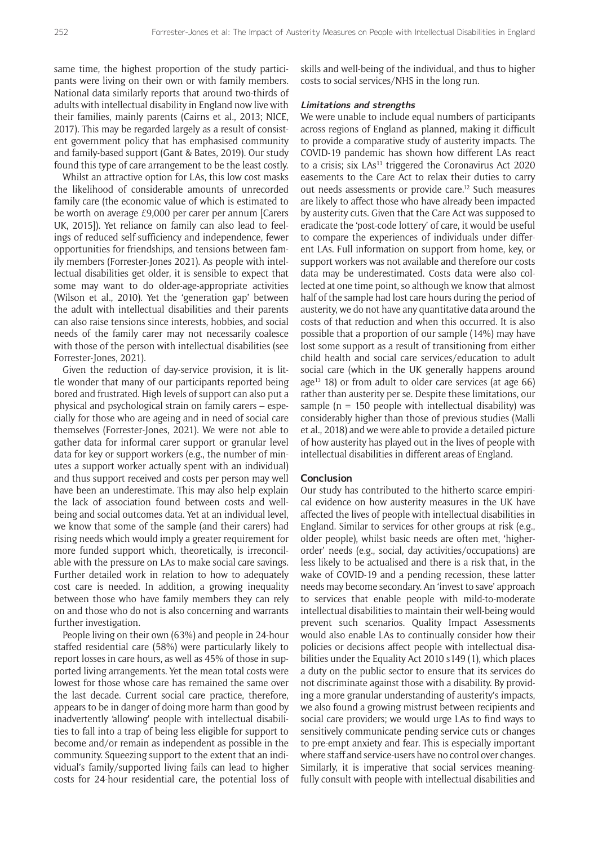same time, the highest proportion of the study participants were living on their own or with family members. National data similarly reports that around two-thirds of adults with intellectual disability in England now live with their families, mainly parents (Cairns et al., 2013; NICE, 2017). This may be regarded largely as a result of consistent government policy that has emphasised community and family-based support (Gant & Bates, 2019). Our study found this type of care arrangement to be the least costly.

Whilst an attractive option for LAs, this low cost masks the likelihood of considerable amounts of unrecorded family care (the economic value of which is estimated to be worth on average £9,000 per carer per annum [Carers UK, 2015]). Yet reliance on family can also lead to feelings of reduced self-sufficiency and independence, fewer opportunities for friendships, and tensions between family members (Forrester-Jones 2021). As people with intellectual disabilities get older, it is sensible to expect that some may want to do older-age-appropriate activities (Wilson et al., 2010). Yet the 'generation gap' between the adult with intellectual disabilities and their parents can also raise tensions since interests, hobbies, and social needs of the family carer may not necessarily coalesce with those of the person with intellectual disabilities (see Forrester-Jones, 2021).

Given the reduction of day-service provision, it is little wonder that many of our participants reported being bored and frustrated. High levels of support can also put a physical and psychological strain on family carers – especially for those who are ageing and in need of social care themselves (Forrester-Jones, 2021). We were not able to gather data for informal carer support or granular level data for key or support workers (e.g., the number of minutes a support worker actually spent with an individual) and thus support received and costs per person may well have been an underestimate. This may also help explain the lack of association found between costs and wellbeing and social outcomes data. Yet at an individual level, we know that some of the sample (and their carers) had rising needs which would imply a greater requirement for more funded support which, theoretically, is irreconcilable with the pressure on LAs to make social care savings. Further detailed work in relation to how to adequately cost care is needed. In addition, a growing inequality between those who have family members they can rely on and those who do not is also concerning and warrants further investigation.

People living on their own (63%) and people in 24-hour staffed residential care (58%) were particularly likely to report losses in care hours, as well as 45% of those in supported living arrangements. Yet the mean total costs were lowest for those whose care has remained the same over the last decade. Current social care practice, therefore, appears to be in danger of doing more harm than good by inadvertently 'allowing' people with intellectual disabilities to fall into a trap of being less eligible for support to become and/or remain as independent as possible in the community. Squeezing support to the extent that an individual's family/supported living fails can lead to higher costs for 24-hour residential care, the potential loss of skills and well-being of the individual, and thus to higher costs to social services/NHS in the long run.

#### **Limitations and strengths**

We were unable to include equal numbers of participants across regions of England as planned, making it difficult to provide a comparative study of austerity impacts. The COVID-19 pandemic has shown how different LAs react to a crisis; six  $LAS<sup>11</sup>$  triggered the Coronavirus Act 2020 easements to the Care Act to relax their duties to carry out needs assessments or provide care.<sup>12</sup> Such measures are likely to affect those who have already been impacted by austerity cuts. Given that the Care Act was supposed to eradicate the 'post-code lottery' of care, it would be useful to compare the experiences of individuals under different LAs. Full information on support from home, key, or support workers was not available and therefore our costs data may be underestimated. Costs data were also collected at one time point, so although we know that almost half of the sample had lost care hours during the period of austerity, we do not have any quantitative data around the costs of that reduction and when this occurred. It is also possible that a proportion of our sample (14%) may have lost some support as a result of transitioning from either child health and social care services/education to adult social care (which in the UK generally happens around age<sup>13</sup> 18) or from adult to older care services (at age  $66$ ) rather than austerity per se. Despite these limitations, our sample ( $n = 150$  people with intellectual disability) was considerably higher than those of previous studies (Malli et al., 2018) and we were able to provide a detailed picture of how austerity has played out in the lives of people with intellectual disabilities in different areas of England.

#### **Conclusion**

Our study has contributed to the hitherto scarce empirical evidence on how austerity measures in the UK have affected the lives of people with intellectual disabilities in England. Similar to services for other groups at risk (e.g., older people), whilst basic needs are often met, 'higherorder' needs (e.g., social, day activities/occupations) are less likely to be actualised and there is a risk that, in the wake of COVID-19 and a pending recession, these latter needs may become secondary. An 'invest to save' approach to services that enable people with mild-to-moderate intellectual disabilities to maintain their well-being would prevent such scenarios. Quality Impact Assessments would also enable LAs to continually consider how their policies or decisions affect people with intellectual disabilities under the Equality Act 2010 s149 (1), which places a duty on the public sector to ensure that its services do not discriminate against those with a disability. By providing a more granular understanding of austerity's impacts, we also found a growing mistrust between recipients and social care providers; we would urge LAs to find ways to sensitively communicate pending service cuts or changes to pre-empt anxiety and fear. This is especially important where staff and service-users have no control over changes. Similarly, it is imperative that social services meaningfully consult with people with intellectual disabilities and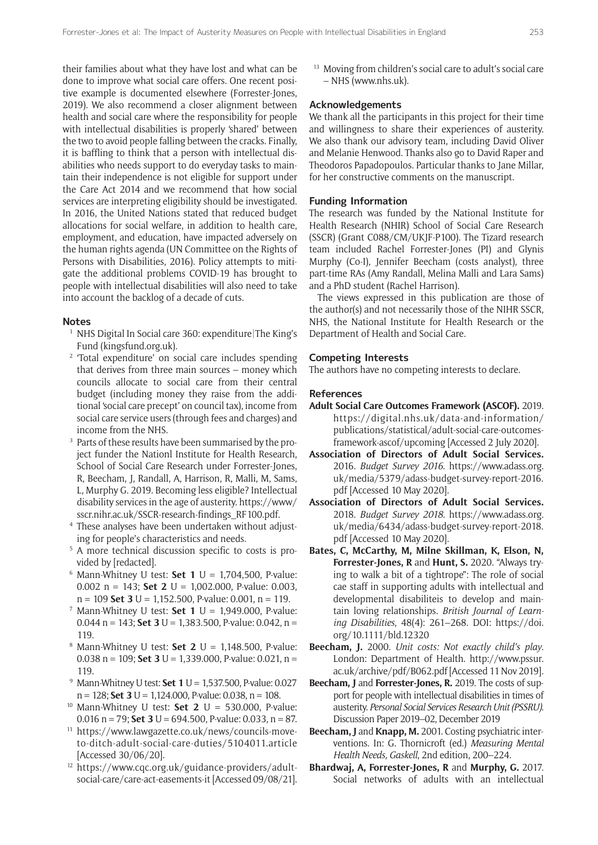their families about what they have lost and what can be done to improve what social care offers. One recent positive example is documented elsewhere (Forrester-Jones, 2019). We also recommend a closer alignment between health and social care where the responsibility for people with intellectual disabilities is properly 'shared' between the two to avoid people falling between the cracks. Finally, it is baffling to think that a person with intellectual disabilities who needs support to do everyday tasks to maintain their independence is not eligible for support under the Care Act 2014 and we recommend that how social services are interpreting eligibility should be investigated. In 2016, the United Nations stated that reduced budget allocations for social welfare, in addition to health care, employment, and education, have impacted adversely on the human rights agenda (UN Committee on the Rights of Persons with Disabilities, 2016). Policy attempts to mitigate the additional problems COVID-19 has brought to people with intellectual disabilities will also need to take into account the backlog of a decade of cuts.

#### **Notes**

- <sup>1</sup> NHS Digital In Social care 360: expenditure The King's Fund ([kingsfund.org.uk\)](http://kingsfund.org.uk).
- <sup>2</sup> 'Total expenditure' on social care includes spending that derives from three main sources – money which councils allocate to social care from their central budget (including money they raise from the additional 'social care precept' on council tax), income from social care service users (through fees and charges) and income from the NHS.
- <sup>3</sup> Parts of these results have been summarised by the project funder the Nationl Institute for Health Research. School of Social Care Research under Forrester-Jones, R, Beecham, J, Randall, A, Harrison, R, Malli, M, Sams, L, Murphy G. 2019. Becoming less eligible? Intellectual disability services in the age of austerity. [https://www/](https://www/sscr.nihr.ac.uk/SSCR-research-findings_RF100.pdf) [sscr.nihr.ac.uk/SSCR-research-findings\\_RF100.pdf.](https://www/sscr.nihr.ac.uk/SSCR-research-findings_RF100.pdf)
- <sup>4</sup> These analyses have been undertaken without adjusting for people's characteristics and needs.
- <sup>5</sup> A more technical discussion specific to costs is provided by [redacted].
- $6$  Mann-Whitney U test: **Set 1** U = 1,704,500, P-value: 0.002 n = 143; **Set 2** U = 1,002.000, P-value: 0.003, n = 109 **Set 3** U **=** 1,152.500, P-value: 0.001, n = 119.
- <sup>7</sup> Mann-Whitney U test: **Set 1** U = 1,949.000, P-value: 0.044 n = 143; **Set 3** U = 1,383.500, P-value: 0.042, n = 119.
- <sup>8</sup> Mann-Whitney U test: **Set 2** U = 1,148.500, P-value: 0.038 n = 109; **Set 3** U = 1,339.000, P-value: 0.021, n = 119.
- <sup>9</sup> Mann-Whitney U test: **Set 1** U = 1,537.500, P-value: 0.027 n = 128; **Set 3** U **=** 1,124.000, P-value: 0.038, n = 108.
- <sup>10</sup> Mann-Whitney U test: **Set 2** U = 530.000, P-value: 0.016 n = 79; **Set 3** U **=** 694.500, P-value: 0.033, n = 87.
- <sup>11</sup> [https://www.lawgazette.co.uk/news/councils-move](https://www.lawgazette.co.uk/news/councils-move-to-ditch-adult-social-care-duties/5104011.article)[to-ditch-adult-social-care-duties/5104011.article](https://www.lawgazette.co.uk/news/councils-move-to-ditch-adult-social-care-duties/5104011.article) [Accessed 30/06/20].
- <sup>12</sup> [https://www.cqc.org.uk/guidance-providers/adult](https://www.cqc.org.uk/guidance-providers/adult-social-care/care-act-easements-it)[social-care/care-act-easements-it](https://www.cqc.org.uk/guidance-providers/adult-social-care/care-act-easements-it) [Accessed 09/08/21].

<sup>13</sup> Moving from children's social care to adult's social care – NHS [\(www.nhs.uk](http://www.nhs.uk)).

#### **Acknowledgements**

We thank all the participants in this project for their time and willingness to share their experiences of austerity. We also thank our advisory team, including David Oliver and Melanie Henwood. Thanks also go to David Raper and Theodoros Papadopoulos. Particular thanks to Jane Millar, for her constructive comments on the manuscript.

#### **Funding Information**

The research was funded by the National Institute for Health Research (NHIR) School of Social Care Research (SSCR) (Grant C088/CM/UKJF-P100). The Tizard research team included Rachel Forrester-Jones (PI) and Glynis Murphy (Co-I), Jennifer Beecham (costs analyst), three part-time RAs (Amy Randall, Melina Malli and Lara Sams) and a PhD student (Rachel Harrison).

The views expressed in this publication are those of the author(s) and not necessarily those of the NIHR SSCR, NHS, the National Institute for Health Research or the Department of Health and Social Care.

#### **Competing Interests**

The authors have no competing interests to declare.

#### **References**

- **Adult Social Care Outcomes Framework (ASCOF).** 2019. [https://digital.nhs.uk/data-and-information/](https://digital.nhs.uk/data-and-information/publications/statistical/adult-social-care-outcomes-framework-ascof/upcoming) [publications/statistical/adult-social-care-outcomes](https://digital.nhs.uk/data-and-information/publications/statistical/adult-social-care-outcomes-framework-ascof/upcoming)[framework-ascof/upcoming](https://digital.nhs.uk/data-and-information/publications/statistical/adult-social-care-outcomes-framework-ascof/upcoming) [Accessed 2 July 2020].
- **Association of Directors of Adult Social Services.** 2016. *Budget Survey 2016*. [https://www.adass.org.](https://www.adass.org.uk/media/5379/adass-budget-survey-report-2016.pdf) [uk/media/5379/adass-budget-survey-report-2016.](https://www.adass.org.uk/media/5379/adass-budget-survey-report-2016.pdf) [pdf](https://www.adass.org.uk/media/5379/adass-budget-survey-report-2016.pdf) [Accessed 10 May 2020].
- **Association of Directors of Adult Social Services.** 2018. *Budget Survey 2018*. [https://www.adass.org.](https://www.adass.org.uk/media/6434/adass-budget-survey-report-2018.pdf[Accessed) [uk/media/6434/adass-budget-survey-report-2018.](https://www.adass.org.uk/media/6434/adass-budget-survey-report-2018.pdf[Accessed) [pdf \[Accessed](https://www.adass.org.uk/media/6434/adass-budget-survey-report-2018.pdf[Accessed) 10 May 2020].
- **Bates, C, McCarthy, M, Milne Skillman, K, Elson, N, Forrester-Jones, R** and **Hunt, S.** 2020. "Always trying to walk a bit of a tightrope": The role of social cae staff in supporting adults with intellectual and developmental disabiliteis to develop and maintain loving relationships. *British Journal of Learning Disabilities*, 48(4): 261–268. DOI: [https://doi.](https://doi.org/10.1111/bld.12320) [org/10.1111/bld.12320](https://doi.org/10.1111/bld.12320)
- **Beecham, J.** 2000. *Unit costs: Not exactly child's play*. London: Department of Health. [http://www.pssur.](http://www.pssur.ac.uk/archive/pdf/B062.pdf) [ac.uk/archive/pdf/B062.pdf](http://www.pssur.ac.uk/archive/pdf/B062.pdf) [Accessed 11 Nov 2019].
- **Beecham, J** and **Forrester-Jones, R.** 2019. The costs of support for people with intellectual disabilities in times of austerity. *Personal Social Services Research Unit (PSSRU)*. Discussion Paper 2019–02, December 2019
- **Beecham, J** and **Knapp, M.** 2001. Costing psychiatric interventions. In: G. Thornicroft (ed.) *Measuring Mental Health Needs, Gaskell*, 2nd edition, 200–224.
- **Bhardwaj, A, Forrester-Jones, R** and **Murphy, G.** 2017. Social networks of adults with an intellectual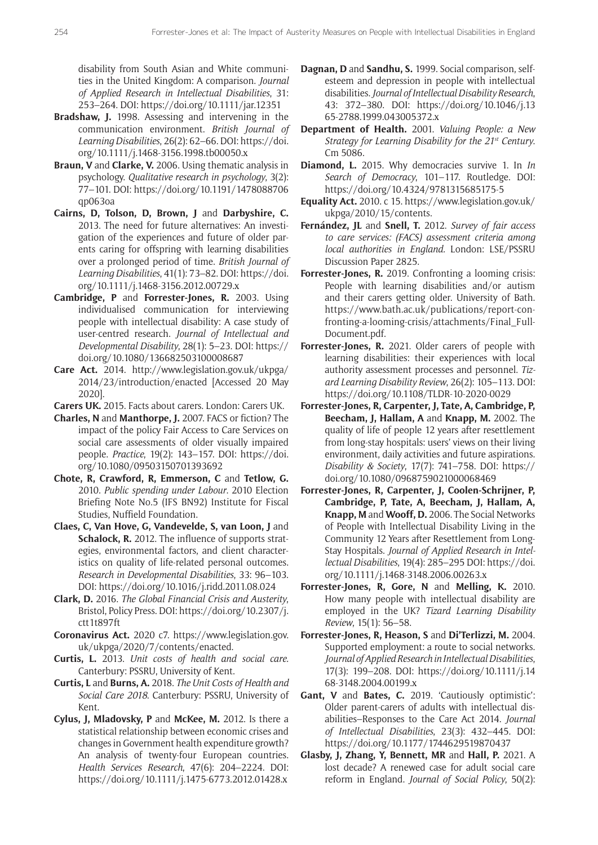disability from South Asian and White communities in the United Kingdom: A comparison. *Journal of Applied Research in Intellectual Disabilities*, 31: 253–264. DOI:<https://doi.org/10.1111/jar.12351>

- **Bradshaw, J.** 1998. Assessing and intervening in the communication environment. *British Journal of Learning Disabilities*, 26(2): 62–66. DOI: [https://doi.](https://doi.org/10.1111/j.1468-3156.1998.tb00050.x) [org/10.1111/j.1468-3156.1998.tb00050.x](https://doi.org/10.1111/j.1468-3156.1998.tb00050.x)
- **Braun, V** and **Clarke, V.** 2006. Using thematic analysis in psychology. *Qualitative research in psychology*, 3(2): 77–101. DOI: [https://doi.org/10.1191/1478088706](https://doi.org/10.1191/1478088706qp063oa) [qp063oa](https://doi.org/10.1191/1478088706qp063oa)
- **Cairns, D, Tolson, D, Brown, J** and **Darbyshire, C.** 2013. The need for future alternatives: An investigation of the experiences and future of older parents caring for offspring with learning disabilities over a prolonged period of time. *British Journal of Learning Disabilities*, 41(1): 73–82. DOI: [https://doi.](https://doi.org/10.1111/j.1468-3156.2012.00729.x) [org/10.1111/j.1468-3156.2012.00729.x](https://doi.org/10.1111/j.1468-3156.2012.00729.x)
- **Cambridge, P** and **Forrester-Jones, R.** 2003. Using individualised communication for interviewing people with intellectual disability: A case study of user-centred research. *Journal of Intellectual and Developmental Disability*, 28(1): 5–23. DOI: [https://](https://doi.org/10.1080/136682503100008687) [doi.org/10.1080/136682503100008687](https://doi.org/10.1080/136682503100008687)
- **Care Act.** 2014. [http://www.legislation.gov.uk/ukpga/](http://www.legislation.gov.uk/ukpga/2014/23/introduction/enacted) [2014/23/introduction/enacted](http://www.legislation.gov.uk/ukpga/2014/23/introduction/enacted) [Accessed 20 May 2020].
- **Carers UK.** 2015. Facts about carers. London: Carers UK.
- **Charles, N** and **Manthorpe, J.** 2007. FACS or fiction? The impact of the policy Fair Access to Care Services on social care assessments of older visually impaired people. *Practice*, 19(2): 143–157. DOI: [https://doi.](https://doi.org/10.1080/09503150701393692) [org/10.1080/09503150701393692](https://doi.org/10.1080/09503150701393692)
- **Chote, R, Crawford, R, Emmerson, C** and **Tetlow, G.** 2010. *Public spending under Labour*. 2010 Election Briefing Note No.5 (IFS BN92) Institute for Fiscal Studies, Nuffield Foundation.
- **Claes, C, Van Hove, G, Vandevelde, S, van Loon, J and Schalock, R.** 2012. The influence of supports strategies, environmental factors, and client characteristics on quality of life-related personal outcomes. *Research in Developmental Disabilities*, 33: 96–103. DOI: <https://doi.org/10.1016/j.ridd.2011.08.024>
- **Clark, D.** 2016. *The Global Financial Crisis and Austerity*, Bristol, Policy Press. DOI: [https://doi.org/10.2307/j.](https://doi.org/10.2307/j.ctt1t897ft) [ctt1t897ft](https://doi.org/10.2307/j.ctt1t897ft)
- **Coronavirus Act.** 2020 c7. [https://www.legislation.gov.](https://www.legislation.gov.uk/ukpga/2020/7/contents/enacted) [uk/ukpga/2020/7/contents/enacted](https://www.legislation.gov.uk/ukpga/2020/7/contents/enacted).
- **Curtis, L.** 2013. *Unit costs of health and social care.*  Canterbury: PSSRU, University of Kent.
- **Curtis, L** and **Burns, A.** 2018. *The Unit Costs of Health and Social Care 2018*. Canterbury: PSSRU, University of Kent.
- **Cylus, J, Mladovsky, P** and **McKee, M.** 2012. Is there a statistical relationship between economic crises and changes in Government health expenditure growth? An analysis of twenty-four European countries. *Health Services Research*, 47(6): 204–2224. DOI: <https://doi.org/10.1111/j.1475-6773.2012.01428.x>
- **Dagnan, D** and **Sandhu, S.** 1999. Social comparison, selfesteem and depression in people with intellectual disabilities. *Journal of Intellectual Disability Research*, 43: 372–380. DOI: [https://doi.org/10.1046/j.13](https://doi.org/10.1046/j.1365-2788.1999.043005372.x) [65-2788.1999.043005372.x](https://doi.org/10.1046/j.1365-2788.1999.043005372.x)
- **Department of Health.** 2001. *Valuing People: a New Strategy for Learning Disability for the 21st Century*. Cm 5086.
- **Diamond, L.** 2015. Why democracies survive 1. In *In Search of Democracy*, 101–117. Routledge. DOI: <https://doi.org/10.4324/9781315685175-5>
- **Equality Act.** 2010. c 15. [https://www.legislation.gov.uk/](https://www.legislation.gov.uk/ukpga/2010/15/contents) [ukpga/2010/15/contents](https://www.legislation.gov.uk/ukpga/2010/15/contents).
- **Fernández, JL** and **Snell, T.** 2012. *Survey of fair access to care services: (FACS) assessment criteria among local authorities in England.* London: LSE/PSSRU Discussion Paper 2825.
- **Forrester-Jones, R.** 2019. Confronting a looming crisis: People with learning disabilities and/or autism and their carers getting older. University of Bath. [https://www.bath.ac.uk/publications/report-con](https://www.bath.ac.uk/publications/report-confronting-a-looming-crisis/attachments/Final_FullDocument.pdf)[fronting-a-looming-crisis/attachments/Final\\_Full-](https://www.bath.ac.uk/publications/report-confronting-a-looming-crisis/attachments/Final_FullDocument.pdf)[Document.pdf](https://www.bath.ac.uk/publications/report-confronting-a-looming-crisis/attachments/Final_FullDocument.pdf).
- **Forrester-Jones, R.** 2021. Older carers of people with learning disabilities: their experiences with local authority assessment processes and personnel. *Tizard Learning Disability Review*, 26(2): 105–113. DOI: <https://doi.org/10.1108/TLDR-10-2020-0029>
- **Forrester-Jones, R, Carpenter, J, Tate, A, Cambridge, P, Beecham, J, Hallam, A** and **Knapp, M.** 2002. The quality of life of people 12 years after resettlement from long-stay hospitals: users' views on their living environment, daily activities and future aspirations. *Disability & Society*, 17(7): 741–758. DOI: [https://](https://doi.org/10.1080/0968759021000068469) [doi.org/10.1080/0968759021000068469](https://doi.org/10.1080/0968759021000068469)
- **Forrester-Jones, R, Carpenter, J, Coolen-Schrijner, P, Cambridge, P, Tate, A, Beecham, J, Hallam, A, Knapp, M** and **Wooff, D.** 2006. The Social Networks of People with Intellectual Disability Living in the Community 12 Years after Resettlement from Long-Stay Hospitals. *Journal of Applied Research in Intellectual Disabilities*, 19(4): 285–295 DOI: [https://doi.](https://doi.org/10.1111/j.1468-3148.2006.00263.x) [org/10.1111/j.1468-3148.2006.00263.x](https://doi.org/10.1111/j.1468-3148.2006.00263.x)
- **Forrester-Jones, R, Gore, N** and **Melling, K.** 2010. How many people with intellectual disability are employed in the UK? *Tizard Learning Disability Review*, 15(1): 56–58.
- **Forrester-Jones, R, Heason, S** and **Di'Terlizzi, M.** 2004. Supported employment: a route to social networks. *Journal of Applied Research in Intellectual Disabilities*, 17(3): 199–208. DOI: [https://doi.org/10.1111/j.14](https://doi.org/10.1111/j.1468-3148.2004.00199.x) [68-3148.2004.00199.x](https://doi.org/10.1111/j.1468-3148.2004.00199.x)
- **Gant, V** and **Bates, C.** 2019. 'Cautiously optimistic': Older parent-carers of adults with intellectual disabilities–Responses to the Care Act 2014. *Journal of Intellectual Disabilities*, 23(3): 432–445. DOI: <https://doi.org/10.1177/1744629519870437>
- **Glasby, J, Zhang, Y, Bennett, MR** and **Hall, P.** 2021. A lost decade? A renewed case for adult social care reform in England. *Journal of Social Policy*, 50(2):